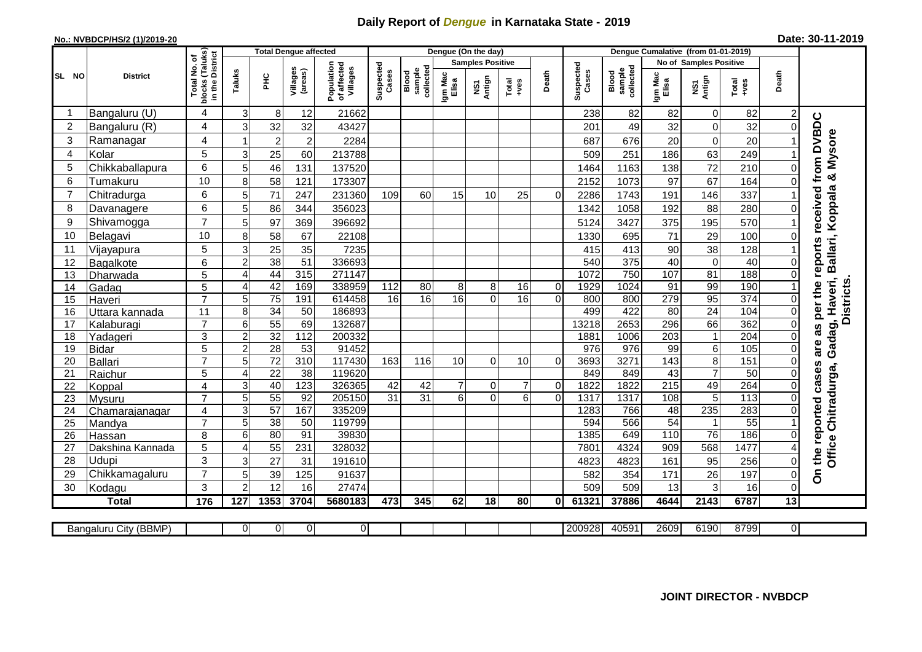## **Daily Report of** *Dengue* **in Karnataka State - 2019**

## **No.: NVBDCP/HS/2 (1)/2019-20**

| Date: 30-11-2019 |  |  |  |
|------------------|--|--|--|
|------------------|--|--|--|

|                | I No. of<br>(Taluks)<br>District<br><b>Total Dengue affected</b> |                           |                     |                 |                     |                                       |                    |                             | Dengue (On the day) |                         |                |             |                    |                              |                               |                 |                  |             |                                        |
|----------------|------------------------------------------------------------------|---------------------------|---------------------|-----------------|---------------------|---------------------------------------|--------------------|-----------------------------|---------------------|-------------------------|----------------|-------------|--------------------|------------------------------|-------------------------------|-----------------|------------------|-------------|----------------------------------------|
|                |                                                                  |                           |                     |                 |                     |                                       |                    |                             |                     | <b>Samples Positive</b> |                |             |                    |                              | <b>No of Samples Positive</b> |                 |                  |             |                                        |
| <b>SL NO</b>   | <b>District</b>                                                  | Total<br>blocks<br>in the | Taluks              | 오<br>도          | Villages<br>(areas) | Population<br>of affected<br>Villages | Suspected<br>Cases | sample<br>collecte<br>Blood | Igm Mac<br>Elisa    | NS1<br>Antign           | Total<br>+ves  | Death       | Suspected<br>Cases | collected<br>sample<br>Blood | Igm Mac<br>Elisa              | NS1<br>Antign   | Total<br>+ves    | Death       |                                        |
| -1             | Bangaluru (U)                                                    | 4                         | $\mathsf 3$         | 8               | 12                  | 21662                                 |                    |                             |                     |                         |                |             | 238                | 82                           | 82                            | $\mathbf 0$     | 82               |             |                                        |
| $\overline{2}$ | Bangaluru (R)                                                    | 4                         | 3                   | 32              | 32                  | 43427                                 |                    |                             |                     |                         |                |             | 201                | 49                           | 32                            | $\mathbf 0$     | 32               | $\Omega$    | as per the reports received from DVBDC |
| 3              | Ramanagar                                                        | 4                         |                     | $\overline{c}$  | $\overline{c}$      | 2284                                  |                    |                             |                     |                         |                |             | 687                | 676                          | 20                            | $\mathbf 0$     | 20               |             | & Mysore                               |
| $\overline{4}$ | Kolar                                                            | 5                         | 3                   | 25              | 60                  | 213788                                |                    |                             |                     |                         |                |             | 509                | 251                          | 186                           | 63              | 249              |             |                                        |
| 5              | Chikkaballapura                                                  | 6                         | 5                   | 46              | 131                 | 137520                                |                    |                             |                     |                         |                |             | 1464               | 1163                         | 138                           | $\overline{72}$ | 210              | $\Omega$    |                                        |
| 6              | Tumakuru                                                         | 10                        | 8                   | 58              | 121                 | 173307                                |                    |                             |                     |                         |                |             | 2152               | 1073                         | 97                            | 67              | 164              | 0           |                                        |
| $\overline{7}$ | Chitradurga                                                      | 6                         | 5                   | 71              | 247                 | 231360                                | 109                | 60                          | 15                  | 10                      | 25             | $\Omega$    | 2286               | 1743                         | 191                           | 146             | 337              |             |                                        |
| 8              | Davanagere                                                       | 6                         | 5                   | 86              | 344                 | 356023                                |                    |                             |                     |                         |                |             | 1342               | 1058                         | 192                           | 88              | 280              | $\Omega$    |                                        |
| 9              | Shivamogga                                                       | $\overline{7}$            | 5                   | 97              | 369                 | 396692                                |                    |                             |                     |                         |                |             | 5124               | 3427                         | 375                           | 195             | 570              |             | Ballari, Koppala                       |
| 10             | Belagavi                                                         | 10                        | 8                   | 58              | 67                  | 22108                                 |                    |                             |                     |                         |                |             | 1330               | 695                          | 71                            | 29              | 100              | $\Omega$    |                                        |
| 11             | Vijayapura                                                       | 5                         | 3                   | 25              | 35                  | 7235                                  |                    |                             |                     |                         |                |             | 415                | 413                          | 90                            | 38              | 128              |             |                                        |
| 12             | Bagalkote                                                        | 6                         | $\overline{2}$      | 38              | $\overline{51}$     | 336693                                |                    |                             |                     |                         |                |             | 540                | 375                          | 40                            | $\overline{0}$  | 40               | 0           |                                        |
| 13             | Dharwada                                                         | 5                         | $\overline{4}$      | 44              | 315                 | 271147                                |                    |                             |                     |                         |                |             | 1072               | 750                          | 107                           | 81              | 188              | $\Omega$    |                                        |
| 14             | Gadag                                                            | $\overline{5}$            | $\overline{4}$      | 42              | 169                 | 338959                                | 112                | 80                          | 8                   | 8                       | 16             | $\mathbf 0$ | 1929               | 1024                         | 91                            | 99              | 190              |             |                                        |
| 15             | Haveri                                                           | $\overline{7}$            | 5                   | $\overline{75}$ | 191                 | 614458                                | 16                 | $\overline{16}$             | 16                  | $\Omega$                | 16             | $\Omega$    | 800                | 800                          | 279                           | 95              | $\overline{374}$ | $\mathbf 0$ |                                        |
| 16             | Uttara kannada                                                   | 11                        | 8                   | 34              | 50                  | 186893                                |                    |                             |                     |                         |                |             | 499                | 422                          | $\overline{80}$               | $\overline{24}$ | 104              | $\Omega$    | Gadag, Haveri,<br><b>Districts</b>     |
| 17             | Kalaburagi                                                       | $\overline{7}$            | 6                   | 55              | 69                  | 132687                                |                    |                             |                     |                         |                |             | 13218              | 2653                         | 296                           | 66              | 362              | $\Omega$    |                                        |
| 18             | Yadageri                                                         | 3                         | $\overline{2}$      | 32              | $\overline{112}$    | 200332                                |                    |                             |                     |                         |                |             | 1881               | 1006                         | $\overline{203}$              | $\mathbf{1}$    | $\overline{204}$ | 0           |                                        |
| 19             | <b>Bidar</b>                                                     | 5                         | $\overline{c}$      | 28              | 53                  | 91452                                 |                    |                             |                     |                         |                |             | $\overline{976}$   | $\overline{976}$             | 99                            | 6               | 105              | $\Omega$    | are                                    |
| 20             | <b>Ballari</b>                                                   | $\overline{7}$            | 5                   | $\overline{72}$ | 310                 | 117430                                | 163                | 116                         | 10                  | $\Omega$                | 10             | $\Omega$    | 3693               | 3271                         | 143                           | $\overline{8}$  | 151              | $\Omega$    |                                        |
| 21             | Raichur                                                          | 5                         | $\overline{4}$      | $\overline{22}$ | 38                  | 119620                                |                    |                             |                     |                         |                |             | 849                | 849                          | 43                            | $\overline{7}$  | 50               | 0           | cases<br>Chitradurga,                  |
| 22             | Koppal                                                           | 4                         | 3                   | 40              | 123                 | 326365                                | 42                 | 42                          | $\overline{7}$      | $\Omega$                | $\overline{7}$ | $\mathbf 0$ | 1822               | 1822                         | $\overline{215}$              | 49              | 264              | $\Omega$    |                                        |
| 23             | Mysuru                                                           | $\overline{7}$            | 5                   | 55              | 92                  | 205150                                | $\overline{31}$    | 31                          | 6 <sup>1</sup>      | $\Omega$                | $6\phantom{1}$ | $\Omega$    | 1317               | 1317                         | 108                           | 5               | 113              | 0           |                                        |
| 24             | Chamarajanagar                                                   | 4                         | $\mathfrak{B}$      | 57              | 167                 | 335209                                |                    |                             |                     |                         |                |             | 1283               | 766                          | 48                            | 235             | 283              | $\Omega$    |                                        |
| 25             | Mandya                                                           | $\overline{7}$            | 5                   | 38              | 50                  | 119799                                |                    |                             |                     |                         |                |             | 594                | 566                          | 54                            | $\overline{1}$  | $\overline{55}$  |             |                                        |
| 26             | Hassan                                                           | 8                         | 6                   | 80              | 91                  | 39830                                 |                    |                             |                     |                         |                |             | 1385               | 649                          | 110                           | $\overline{76}$ | 186              | $\Omega$    |                                        |
| 27             | Dakshina Kannada                                                 | 5<br>3                    | 4                   | 55              | 231                 | 328032                                |                    |                             |                     |                         |                |             | 780 <sup>-</sup>   | 4324                         | 909                           | 568             | 1477             |             | Office <sup>1</sup>                    |
| 28             | Udupi                                                            | $\overline{7}$            | 3                   | 27              | 31                  | 191610                                |                    |                             |                     |                         |                |             | 4823               | 4823                         | 161                           | 95              | 256              | 0           | On the reported                        |
| 29<br>30       | Chikkamagaluru<br>Kodagu                                         | 3                         | 5<br>$\overline{2}$ | 39<br>12        | 125<br>16           | 91637<br>27474                        |                    |                             |                     |                         |                |             | 582<br>509         | 354<br>509                   | 171<br>13                     | 26<br>3         | 197<br>16        | 0<br>0      |                                        |
|                | <b>Total</b>                                                     | 176                       | 127                 | 1353            | 3704                | 5680183                               | 473                | 345                         | 62                  | 18                      | 80             | 01          | 61321              | 37886                        | 4644                          | 2143            | 6787             | 13          |                                        |
|                |                                                                  |                           |                     |                 |                     |                                       |                    |                             |                     |                         |                |             |                    |                              |                               |                 |                  |             |                                        |
|                | Bangaluru City (BBMP)                                            |                           | 0                   | 0               | 0                   | $\overline{0}$                        |                    |                             |                     |                         |                |             | 200928             | 40591                        | 2609                          | 6190            | 8799             | 0           |                                        |